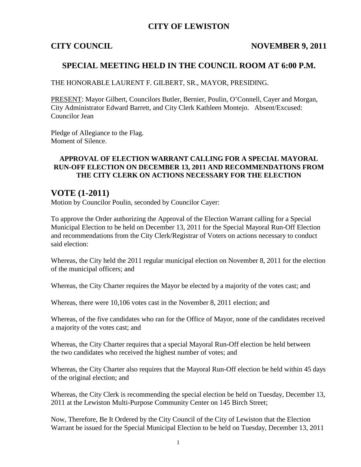## **CITY OF LEWISTON**

#### **CITY COUNCIL NOVEMBER 9, 2011**

### **SPECIAL MEETING HELD IN THE COUNCIL ROOM AT 6:00 P.M.**

THE HONORABLE LAURENT F. GILBERT, SR., MAYOR, PRESIDING.

PRESENT: Mayor Gilbert, Councilors Butler, Bernier, Poulin, O'Connell, Cayer and Morgan, City Administrator Edward Barrett, and City Clerk Kathleen Montejo. Absent/Excused: Councilor Jean

Pledge of Allegiance to the Flag. Moment of Silence.

### **APPROVAL OF ELECTION WARRANT CALLING FOR A SPECIAL MAYORAL RUN-OFF ELECTION ON DECEMBER 13, 2011 AND RECOMMENDATIONS FROM THE CITY CLERK ON ACTIONS NECESSARY FOR THE ELECTION**

## **VOTE (1-2011)**

Motion by Councilor Poulin, seconded by Councilor Cayer:

To approve the Order authorizing the Approval of the Election Warrant calling for a Special Municipal Election to be held on December 13, 2011 for the Special Mayoral Run-Off Election and recommendations from the City Clerk/Registrar of Voters on actions necessary to conduct said election:

Whereas, the City held the 2011 regular municipal election on November 8, 2011 for the election of the municipal officers; and

Whereas, the City Charter requires the Mayor be elected by a majority of the votes cast; and

Whereas, there were 10,106 votes cast in the November 8, 2011 election; and

Whereas, of the five candidates who ran for the Office of Mayor, none of the candidates received a majority of the votes cast; and

Whereas, the City Charter requires that a special Mayoral Run-Off election be held between the two candidates who received the highest number of votes; and

Whereas, the City Charter also requires that the Mayoral Run-Off election be held within 45 days of the original election; and

Whereas, the City Clerk is recommending the special election be held on Tuesday, December 13, 2011 at the Lewiston Multi-Purpose Community Center on 145 Birch Street;

Now, Therefore, Be It Ordered by the City Council of the City of Lewiston that the Election Warrant be issued for the Special Municipal Election to be held on Tuesday, December 13, 2011